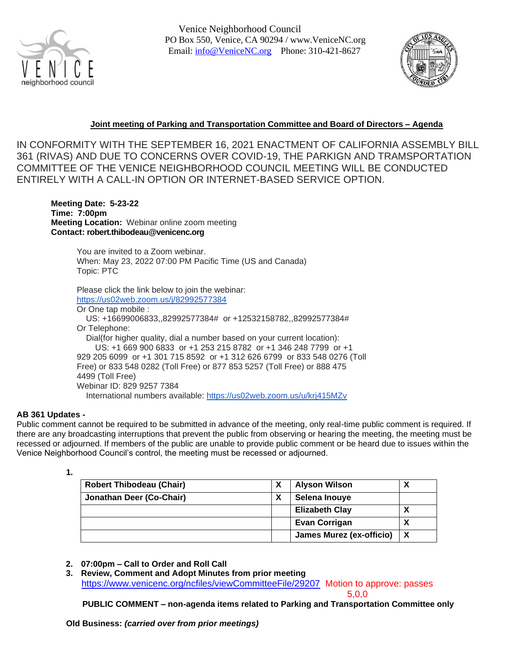

Venice Neighborhood Council PO Box 550, Venice, CA 90294 / [www.VeniceNC.org](http://www.venicenc.org/) Email: [info@VeniceNC.org](mailto:info@VeniceNC.org) Phone: 310-421-8627



# **Joint meeting of Parking and Transportation Committee and Board of Directors – Agenda**

IN CONFORMITY WITH THE SEPTEMBER 16, 2021 ENACTMENT OF CALIFORNIA ASSEMBLY BILL 361 (RIVAS) AND DUE TO CONCERNS OVER COVID-19, THE PARKIGN AND TRAMSPORTATION COMMITTEE OF THE VENICE NEIGHBORHOOD COUNCIL MEETING WILL BE CONDUCTED ENTIRELY WITH A CALL-IN OPTION OR INTERNET-BASED SERVICE OPTION.

**Meeting Date: 5-23-22 Time: 7:00pm Meeting Location:** Webinar online zoom meeting **Contact: robert.thibodeau@venicenc.org**

> You are invited to a Zoom webinar. When: May 23, 2022 07:00 PM Pacific Time (US and Canada) Topic: PTC

Please click the link below to join the webinar: <https://us02web.zoom.us/j/82992577384>

Or One tap mobile : US: +16699006833,,82992577384# or +12532158782,,82992577384# Or Telephone: Dial(for higher quality, dial a number based on your current location): US: +1 669 900 6833 or +1 253 215 8782 or +1 346 248 7799 or +1 929 205 6099 or +1 301 715 8592 or +1 312 626 6799 or 833 548 0276 (Toll Free) or 833 548 0282 (Toll Free) or 877 853 5257 (Toll Free) or 888 475 4499 (Toll Free) Webinar ID: 829 9257 7384 International numbers available: <https://us02web.zoom.us/u/krj415MZv>

#### **AB 361 Updates -**

Public comment cannot be required to be submitted in advance of the meeting, only real-time public comment is required. If there are any broadcasting interruptions that prevent the public from observing or hearing the meeting, the meeting must be recessed or adjourned. If members of the public are unable to provide public comment or be heard due to issues within the Venice Neighborhood Council's control, the meeting must be recessed or adjourned.

**<sup>1.</sup>** 

| <b>Robert Thibodeau (Chair)</b> | х | <b>Alyson Wilson</b>            | Δ |
|---------------------------------|---|---------------------------------|---|
| Jonathan Deer (Co-Chair)        | х | Selena Inouye                   |   |
|                                 |   | <b>Elizabeth Clay</b>           | ◠ |
|                                 |   | <b>Evan Corrigan</b>            | ◠ |
|                                 |   | <b>James Murez (ex-officio)</b> |   |

- **2. 07:00pm – Call to Order and Roll Call**
- **3. Review, Comment and Adopt Minutes from prior meeting** <https://www.venicenc.org/ncfiles/viewCommitteeFile/29207> Motion to approve: passes

5,0,0

**PUBLIC COMMENT – non-agenda items related to Parking and Transportation Committee only**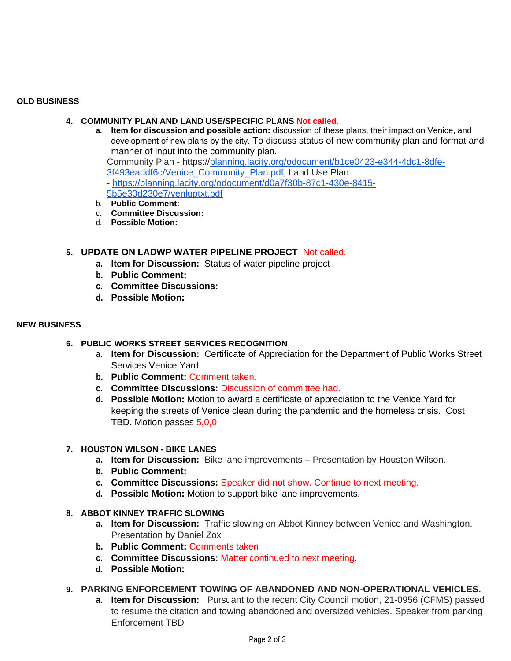### **OLD BUSINESS**

### **4. COMMUNITY PLAN AND LAND USE/SPECIFIC PLANS Not called.**

- **a. Item for discussion and possible action:** discussion of these plans, their impact on Venice, and development of new plans by the city. To discuss status of new community plan and format and manner of input into the community plan. Community Plan - https:/[/planning.lacity.org/odocument/b1ce0423-e344-4dc1-8dfe-](http://planning.lacity.org/odocument/b1ce0423-e344-4dc1-8dfe-3f493eaddf6c/Venice_Community_Plan.pdf)[3f493eaddf6c/Venice\\_Community\\_Plan.pdf;](http://planning.lacity.org/odocument/b1ce0423-e344-4dc1-8dfe-3f493eaddf6c/Venice_Community_Plan.pdf) Land Use Plan - [https://planning.lacity.org/odocument/d0a7f30b-87c1-430e-8415-](https://planning.lacity.org/odocument/d0a7f30b-87c1-430e-8415-5b5e30d230e7/venluptxt.pdf) [5b5e30d230e7/venluptxt.pdf](https://planning.lacity.org/odocument/d0a7f30b-87c1-430e-8415-5b5e30d230e7/venluptxt.pdf)
- b. **Public Comment:**
- c. **Committee Discussion:**
- d. **Possible Motion:**

# **5. UPDATE ON LADWP WATER PIPELINE PROJECT** Not called.

- **a. Item for Discussion:** Status of water pipeline project
- **b. Public Comment:**
- **c. Committee Discussions:**
- **d. Possible Motion:**

#### **NEW BUSINESS**

- **6. PUBLIC WORKS STREET SERVICES RECOGNITION**
	- a. **Item for Discussion:** Certificate of Appreciation for the Department of Public Works Street Services Venice Yard.
	- **b. Public Comment:** Comment taken.
	- **c. Committee Discussions:** Discussion of committee had.
	- **d. Possible Motion:** Motion to award a certificate of appreciation to the Venice Yard for keeping the streets of Venice clean during the pandemic and the homeless crisis. Cost TBD. Motion passes 5,0,0

#### **7. HOUSTON WILSON - BIKE LANES**

- **a. Item for Discussion:** Bike lane improvements Presentation by Houston Wilson.
- **b. Public Comment:**
- **c. Committee Discussions:** Speaker did not show. Continue to next meeting.
- **d. Possible Motion:** Motion to support bike lane improvements.
- **8. ABBOT KINNEY TRAFFIC SLOWING**
	- **a. Item for Discussion:** Traffic slowing on Abbot Kinney between Venice and Washington. Presentation by Daniel Zox
	- **b. Public Comment:** Comments taken
	- **c. Committee Discussions:** Matter continued to next meeting.
	- **d. Possible Motion:**

# **9. PARKING ENFORCEMENT TOWING OF ABANDONED AND NON-OPERATIONAL VEHICLES.**

**a. Item for Discussion:** Pursuant to the recent City Council motion, 21-0956 (CFMS) passed to resume the citation and towing abandoned and oversized vehicles. Speaker from parking Enforcement TBD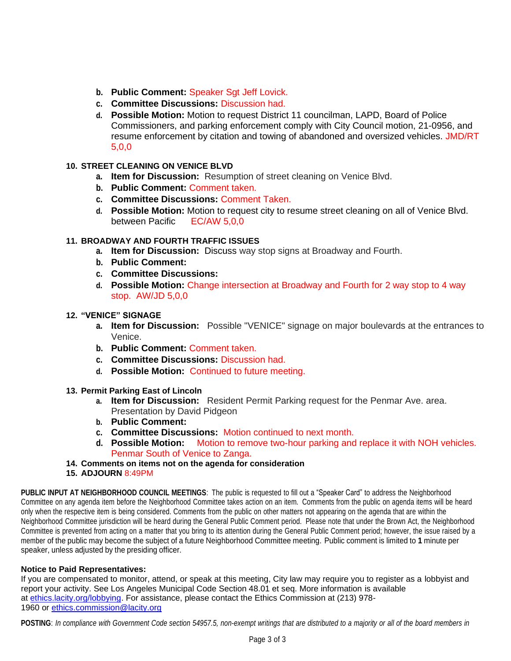- **b. Public Comment:** Speaker Sgt Jeff Lovick.
- **c. Committee Discussions:** Discussion had.
- **d. Possible Motion:** Motion to request District 11 councilman, LAPD, Board of Police Commissioners, and parking enforcement comply with City Council motion, 21-0956, and resume enforcement by citation and towing of abandoned and oversized vehicles. JMD/RT 5,0,0

## **10. STREET CLEANING ON VENICE BLVD**

- **a. Item for Discussion:** Resumption of street cleaning on Venice Blvd.
- **b. Public Comment:** Comment taken.
- **c. Committee Discussions:** Comment Taken.
- **d. Possible Motion:** Motion to request city to resume street cleaning on all of Venice Blvd. between Pacific EC/AW 5,0,0

## **11. BROADWAY AND FOURTH TRAFFIC ISSUES**

- **a. Item for Discussion:** Discuss way stop signs at Broadway and Fourth.
- **b. Public Comment:**
- **c. Committee Discussions:**
- **d. Possible Motion:** Change intersection at Broadway and Fourth for 2 way stop to 4 way stop. AW/JD 5,0,0
- **12. "VENICE" SIGNAGE**
	- **a. Item for Discussion:** Possible "VENICE" signage on major boulevards at the entrances to Venice.
	- **b. Public Comment:** Comment taken.
	- **c. Committee Discussions:** Discussion had.
	- **d. Possible Motion:** Continued to future meeting.
- **13. Permit Parking East of Lincoln**
	- **a. Item for Discussion:** Resident Permit Parking request for the Penmar Ave. area. Presentation by David Pidgeon
	- **b. Public Comment:**
	- **c. Committee Discussions:** Motion continued to next month.
	- **d. Possible Motion:** Motion to remove two-hour parking and replace it with NOH vehicles. Penmar South of Venice to Zanga.
- **14. Comments on items not on the agenda for consideration**
- **15. ADJOURN** 8:49PM

**PUBLIC INPUT AT NEIGHBORHOOD COUNCIL MEETINGS**: The public is requested to fill out a "Speaker Card" to address the Neighborhood Committee on any agenda item before the Neighborhood Committee takes action on an item. Comments from the public on agenda items will be heard only when the respective item is being considered. Comments from the public on other matters not appearing on the agenda that are within the Neighborhood Committee jurisdiction will be heard during the General Public Comment period. Please note that under the Brown Act, the Neighborhood Committee is prevented from acting on a matter that you bring to its attention during the General Public Comment period; however, the issue raised by a member of the public may become the subject of a future Neighborhood Committee meeting. Public comment is limited to **1** minute per speaker, unless adjusted by the presiding officer.

#### **Notice to Paid Representatives:**

If you are compensated to monitor, attend, or speak at this meeting, City law may require you to register as a lobbyist and report your activity. See Los Angeles Municipal Code Section 48.01 et seq. More information is available at [ethics.lacity.org/lobbying.](http://ethics.lacity.org/lobbying) For assistance, please contact the Ethics Commission at (213) 978- 1960 or [ethics.commission@lacity.org](mailto:ethics.commission@lacity.org)

POSTING: In compliance with Government Code section 54957.5, non-exempt writings that are distributed to a majority or all of the board members in